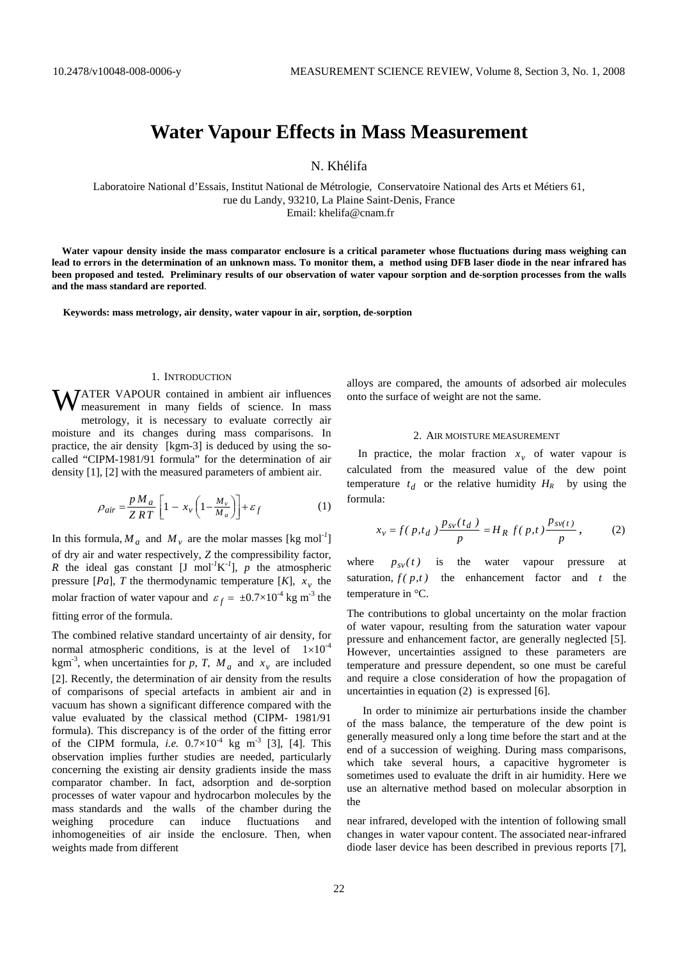# **Water Vapour Effects in Mass Measurement**

N. Khélifa

Laboratoire National d'Essais, Institut National de Métrologie, Conservatoire National des Arts et Métiers 61, rue du Landy, 93210, La Plaine Saint-Denis, France Email: khelifa@cnam.fr

 **Water vapour density inside the mass comparator enclosure is a critical parameter whose fluctuations during mass weighing can lead to errors in the determination of an unknown mass. To monitor them, a method using DFB laser diode in the near infrared has been proposed and tested. Preliminary results of our observation of water vapour sorption and de-sorption processes from the walls and the mass standard are reported**.

**Keywords: mass metrology, air density, water vapour in air, sorption, de-sorption** 

#### 1. INTRODUCTION

WATER VAPOUR contained in ambient air influences<br>measurement in many fields of science. In mass measurement in many fields of science. In mass metrology, it is necessary to evaluate correctly air moisture and its changes during mass comparisons. In practice, the air density [kgm-3] is deduced by using the socalled "CIPM-1981/91 formula" for the determination of air density [1], [2] with the measured parameters of ambient air.

$$
\rho_{air} = \frac{p M_a}{Z RT} \left[ 1 - x_v \left( 1 - \frac{M_v}{M_a} \right) \right] + \varepsilon_f \tag{1}
$$

In this formula,  $M_a$  and  $M_v$  are the molar masses [kg mol<sup>-1</sup>] of dry air and water respectively, *Z* the compressibility factor, *R* the ideal gas constant [J mol<sup>-1</sup>K<sup>-1</sup>], *p* the atmospheric pressure [*Pa*], *T* the thermodynamic temperature [*K*],  $x<sub>v</sub>$  the molar fraction of water vapour and  $\varepsilon_f = \pm 0.7 \times 10^{-4}$  kg m<sup>-3</sup> the

## fitting error of the formula.

The combined relative standard uncertainty of air density, for normal atmospheric conditions, is at the level of  $1 \times 10^{-4}$ kgm<sup>-3</sup>, when uncertainties for p, T,  $M_a$  and  $x_v$  are included [2]. Recently, the determination of air density from the results of comparisons of special artefacts in ambient air and in vacuum has shown a significant difference compared with the value evaluated by the classical method (CIPM- 1981/91 formula). This discrepancy is of the order of the fitting error of the CIPM formula, *i.e.*  $0.7 \times 10^{-4}$  kg m<sup>-3</sup> [3], [4]. This observation implies further studies are needed, particularly concerning the existing air density gradients inside the mass comparator chamber. In fact, adsorption and de-sorption processes of water vapour and hydrocarbon molecules by the mass standards and the walls of the chamber during the weighing procedure can induce fluctuations and inhomogeneities of air inside the enclosure. Then, when weights made from different

alloys are compared, the amounts of adsorbed air molecules onto the surface of weight are not the same.

## 2. AIR MOISTURE MEASUREMENT

In practice, the molar fraction  $x_v$  of water vapour is calculated from the measured value of the dew point temperature  $t_d$  or the relative humidity  $H_R$  by using the formula:

$$
x_v = f(p, t_d) \frac{p_{sv}(t_d)}{p} = H_R f(p, t) \frac{p_{sv(t)}}{p},
$$
 (2)

where  $p_{sv}(t)$  is the water vapour pressure at saturation,  $f(p,t)$  the enhancement factor and *t* the temperature in °C.

The contributions to global uncertainty on the molar fraction of water vapour, resulting from the saturation water vapour pressure and enhancement factor, are generally neglected [5]. However, uncertainties assigned to these parameters are temperature and pressure dependent, so one must be careful and require a close consideration of how the propagation of uncertainties in equation (2) is expressed [6].

In order to minimize air perturbations inside the chamber of the mass balance, the temperature of the dew point is generally measured only a long time before the start and at the end of a succession of weighing. During mass comparisons, which take several hours, a capacitive hygrometer is sometimes used to evaluate the drift in air humidity. Here we use an alternative method based on molecular absorption in the

near infrared, developed with the intention of following small changes in water vapour content. The associated near-infrared diode laser device has been described in previous reports [7],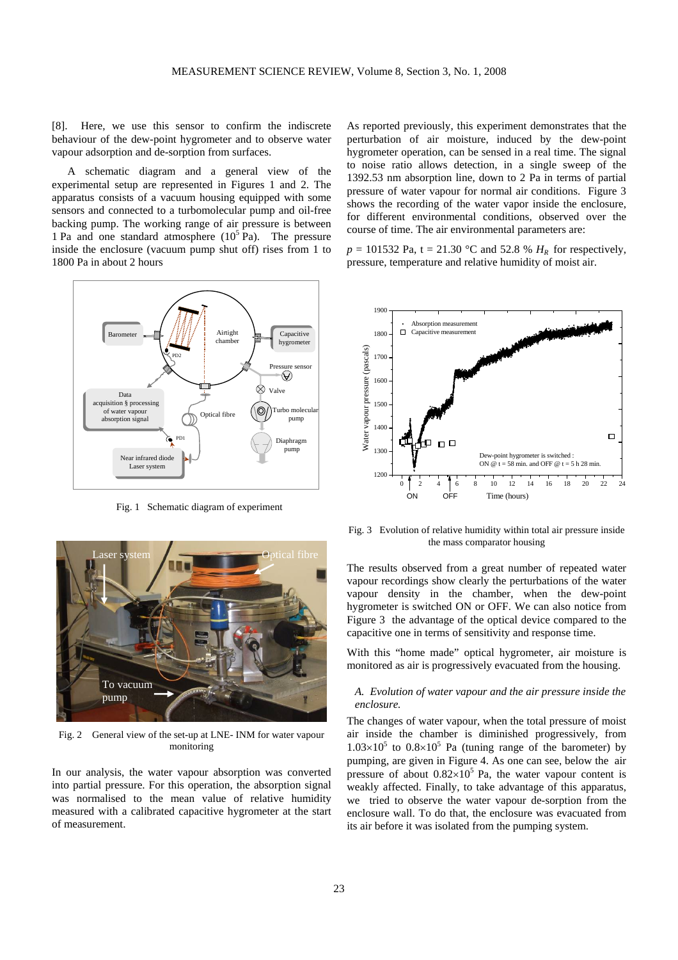[8]. Here, we use this sensor to confirm the indiscrete behaviour of the dew-point hygrometer and to observe water vapour adsorption and de-sorption from surfaces.

A schematic diagram and a general view of the experimental setup are represented in Figures 1 and 2. The apparatus consists of a vacuum housing equipped with some sensors and connected to a turbomolecular pump and oil-free backing pump. The working range of air pressure is between 1 Pa and one standard atmosphere  $(10^5 \text{ Pa})$ . The pressure inside the enclosure (vacuum pump shut off) rises from 1 to 1800 Pa in about 2 hours



Fig. 1 Schematic diagram of experiment



Fig. 2 General view of the set-up at LNE- INM for water vapour monitoring

In our analysis, the water vapour absorption was converted into partial pressure. For this operation, the absorption signal was normalised to the mean value of relative humidity measured with a calibrated capacitive hygrometer at the start of measurement.

As reported previously, this experiment demonstrates that the perturbation of air moisture, induced by the dew-point hygrometer operation, can be sensed in a real time. The signal to noise ratio allows detection, in a single sweep of the 1392.53 nm absorption line, down to 2 Pa in terms of partial pressure of water vapour for normal air conditions. Figure 3 shows the recording of the water vapor inside the enclosure, for different environmental conditions, observed over the course of time. The air environmental parameters are:

 $p = 101532$  Pa, t = 21.30 °C and 52.8 %  $H_R$  for respectively, pressure, temperature and relative humidity of moist air.



Fig. 3 Evolution of relative humidity within total air pressure inside the mass comparator housing

The results observed from a great number of repeated water vapour recordings show clearly the perturbations of the water vapour density in the chamber, when the dew-point hygrometer is switched ON or OFF. We can also notice from Figure 3 the advantage of the optical device compared to the capacitive one in terms of sensitivity and response time.

With this "home made" optical hygrometer, air moisture is monitored as air is progressively evacuated from the housing.

## *A. Evolution of water vapour and the air pressure inside the enclosure.*

The changes of water vapour, when the total pressure of moist air inside the chamber is diminished progressively, from  $1.03\times10^5$  to  $0.8\times10^5$  Pa (tuning range of the barometer) by pumping, are given in Figure 4. As one can see, below the air pressure of about  $0.82 \times 10^5$  Pa, the water vapour content is weakly affected. Finally, to take advantage of this apparatus, we tried to observe the water vapour de-sorption from the enclosure wall. To do that, the enclosure was evacuated from its air before it was isolated from the pumping system.